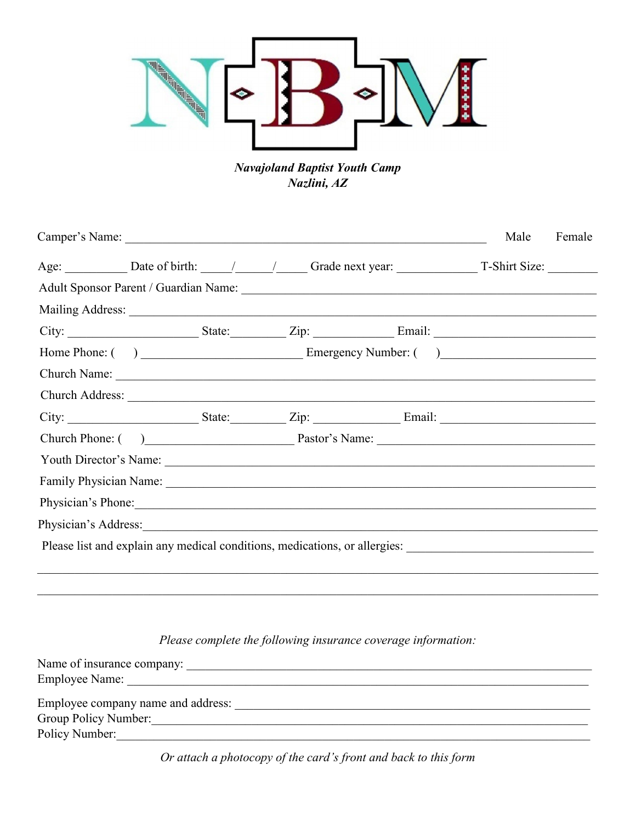

**Navajoland Baptist Youth Camp** Nazlini, AZ

|                                                                                                                                                                                                                                |  |  | Male | Female |
|--------------------------------------------------------------------------------------------------------------------------------------------------------------------------------------------------------------------------------|--|--|------|--------|
|                                                                                                                                                                                                                                |  |  |      |        |
|                                                                                                                                                                                                                                |  |  |      |        |
|                                                                                                                                                                                                                                |  |  |      |        |
|                                                                                                                                                                                                                                |  |  |      |        |
|                                                                                                                                                                                                                                |  |  |      |        |
| Church Name:                                                                                                                                                                                                                   |  |  |      |        |
|                                                                                                                                                                                                                                |  |  |      |        |
|                                                                                                                                                                                                                                |  |  |      |        |
| Church Phone: () Pastor's Name:                                                                                                                                                                                                |  |  |      |        |
|                                                                                                                                                                                                                                |  |  |      |        |
| Family Physician Name: 1988. The Contract of the Contract of the Contract of the Contract of the Contract of the Contract of the Contract of the Contract of the Contract of the Contract of the Contract of the Contract of t |  |  |      |        |
| Physician's Phone:                                                                                                                                                                                                             |  |  |      |        |
| Physician's Address: 1988 and 2008 and 2008 and 2008 and 2008 and 2008 and 2008 and 2008 and 2008 and 2008 and 2008 and 2008 and 2008 and 2008 and 2008 and 2008 and 2008 and 2008 and 2008 and 2008 and 2008 and 2008 and 200 |  |  |      |        |
| Please list and explain any medical conditions, medications, or allergies: _________________________                                                                                                                           |  |  |      |        |
|                                                                                                                                                                                                                                |  |  |      |        |
|                                                                                                                                                                                                                                |  |  |      |        |

Please complete the following insurance coverage information:

| Name of insurance company:         |  |
|------------------------------------|--|
| <b>Employee Name:</b>              |  |
| Employee company name and address: |  |
| Group Policy Number:               |  |
| Policy Number:                     |  |
|                                    |  |

Or attach a photocopy of the card's front and back to this form